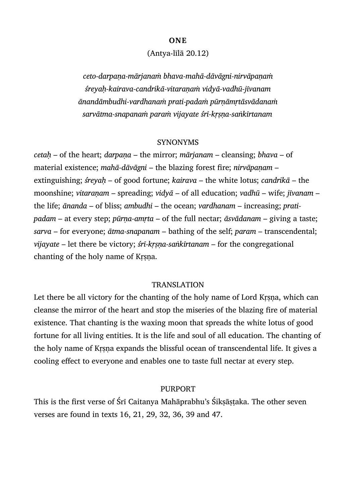#### **ONE**

### (Antya-līlā 20.12)

*ceto-darpaṇa-mārjanaṁ bhava-mahā-dāvāgni-nirvāpaṇaṁ śreyaḥ-kairava-candrikā-vitaraṇaṁ vidyā-vadhū-jīvanam ānandāmbudhi-vardhanaṁ prati-padaṁ pūrṇāmṛtāsvādanaṁ sarvātma-snapanaṁ paraṁ vijayate śrī-kṛṣṇa-saṅkīrtanam*

#### SYNONYMS

*cetaḥ* – of the heart; *darpaṇa* – the mirror; *mārjanam* – cleansing; *bhava* – of material existence; *mahā-dāvāgni* – the blazing forest fire; *nirvāpaṇam* – extinguishing; *śreyaḥ* – of good fortune; *kairava* – the white lotus; *candrikā* – the moonshine; *vitaraṇam* – spreading; *vidyā* – of all education; *vadhū* – wife; *jīvanam* – the life; *ānanda* – of bliss; *ambudhi* – the ocean; *vardhanam* – increasing; *pratipadam* – at every step; *pūrṇa-amṛta* – of the full nectar; *āsvādanam* – giving a taste; *sarva* – for everyone; *ātma-snapanam* – bathing of the self; *param* – transcendental; *vijayate* – let there be victory; *śrī-kṛṣṇa-saṅkīrtanam* – for the congregational chanting of the holy name of Kṛṣṇa.

### TRANSLATION

Let there be all victory for the chanting of the holy name of Lord Krsna, which can cleanse the mirror of the heart and stop the miseries of the blazing fire of material existence. That chanting is the waxing moon that spreads the white lotus of good fortune for all living entities. It is the life and soul of all education. The chanting of the holy name of Kṛṣṇa expands the blissful ocean of transcendental life. It gives a cooling effect to everyone and enables one to taste full nectar at every step.

### PURPORT

This is the first verse of Śrī Caitanya Mahāprabhu's Śikṣāṣṭaka. The other seven verses are found in texts 16, 21, 29, 32, 36, 39 and 47.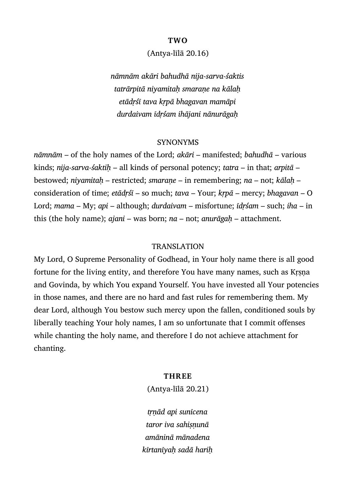#### **TWO**

### (Antya-līlā 20.16)

*nāmnām akāri bahudhā nija-sarva-śaktis tatrārpitā niyamitaḥ smaraṇe na kālaḥ etādṛśī tava kṛpā bhagavan mamāpi durdaivam īdṛśam ihājani nānurāgaḥ*

### SYNONYMS

*nāmnām* – of the holy names of the Lord; *akāri* – manifested; *bahudhā* – various kinds; *nija-sarva-śaktiḥ* – all kinds of personal potency; *tatra* – in that; *arpitā* – bestowed; *niyamitaḥ* – restricted; *smaraṇe* – in remembering; *na* – not; *kālaḥ* – consideration of time; *etādṛśī* – so much; *tava* – Your; *kṛpā* – mercy; *bhagavan* – O Lord; *mama* – My; *api* – although; *durdaivam* – misfortune; *īdṛśam* – such; *iha* – in this (the holy name); *ajani* – was born; *na* – not; *anurāgaḥ* – attachment.

### **TRANSLATION**

My Lord, O Supreme Personality of Godhead, in Your holy name there is all good fortune for the living entity, and therefore You have many names, such as Kṛṣṇa and Govinda, by which You expand Yourself. You have invested all Your potencies in those names, and there are no hard and fast rules for remembering them. My dear Lord, although You bestow such mercy upon the fallen, conditioned souls by liberally teaching Your holy names, I am so unfortunate that I commit offenses while chanting the holy name, and therefore I do not achieve attachment for chanting.

### **THREE**

(Antya-līlā 20.21)

*tṛṇād api sunīcena taror iva sahiṣṇunā amāninā mānadena kīrtanīyaḥ sadā hariḥ*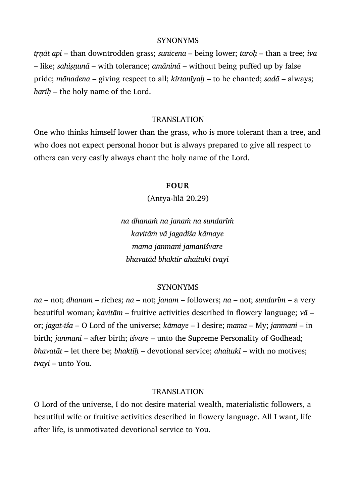### **SYNONYMS**

*tṛṇāt api* – than downtrodden grass; *sunīcena* – being lower; *taroḥ* – than a tree; *iva* – like; *sahiṣṇunā* – with tolerance; *amāninā* – without being puffed up by false pride; *mānadena* – giving respect to all; *kīrtanīyaḥ* – to be chanted; *sadā* – always; *hariḥ* – the holy name of the Lord.

### TRANSLATION

One who thinks himself lower than the grass, who is more tolerant than a tree, and who does not expect personal honor but is always prepared to give all respect to others can very easily always chant the holy name of the Lord.

## **FOUR**

(Antya-līlā 20.29)

*na dhanaṁ na janaṁ na sundarīṁ kavitāṁ vā jagadīśa kāmaye mama janmani jamanīśvare bhavatād bhaktir ahaitukī tvayi*

# SYNONYMS

*na* – not; *dhanam* – riches; *na* – not; *janam* – followers; *na* – not; *sundarīm* – a very beautiful woman; *kavitām* – fruitive activities described in flowery language; *vā* – or; *jagat-īśa* – O Lord of the universe; *kāmaye* – I desire; *mama* – My; *janmani* – in birth; *janmani* – after birth; *īśvare* – unto the Supreme Personality of Godhead; *bhavatāt* – let there be; *bhaktiḥ* – devotional service; *ahaitukī* – with no motives; *tvayi* – unto You.

# TRANSLATION

O Lord of the universe, I do not desire material wealth, materialistic followers, a beautiful wife or fruitive activities described in flowery language. All I want, life after life, is unmotivated devotional service to You.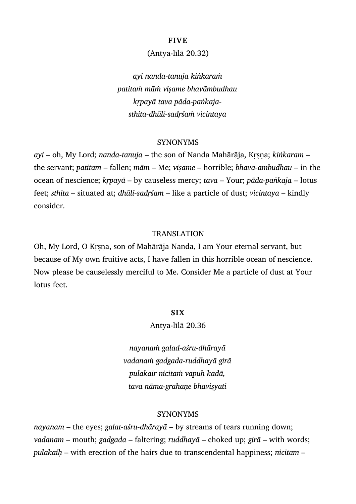## **FIVE**

# (Antya-līlā 20.32)

*ayi nanda-tanuja kiṅkaraṁ patitaṁ māṁ viṣame bhavāmbudhau kṛpayā tava pāda-paṅkajasthita-dhūlī-sadṛśaṁ vicintaya*

### SYNONYMS

*ayi* – oh, My Lord; *nanda-tanuja* – the son of Nanda Mahārāja, Kṛṣṇa; *kiṅkaram* – the servant; *patitam* – fallen; *mām* – Me; *viṣame* – horrible; *bhava-ambudhau* – in the ocean of nescience; *kṛpayā* – by causeless mercy; *tava* – Your; *pāda-paṅkaja* – lotus feet; *sthita* – situated at; *dhūlī-sadṛśam* – like a particle of dust; *vicintaya* – kindly consider.

### TRANSLATION

Oh, My Lord, O Kṛṣṇa, son of Mahārāja Nanda, I am Your eternal servant, but because of My own fruitive acts, I have fallen in this horrible ocean of nescience. Now please be causelessly merciful to Me. Consider Me a particle of dust at Your lotus feet.

# **SIX**

### Antya-līlā 20.36

*nayanaṁ galad-aśru-dhārayā vadanaṁ gadgada-ruddhayā girā pulakair nicitaṁ vapuḥ kadā, tava nāma-grahaṇe bhaviṣyati*

### SYNONYMS

*nayanam* – the eyes; *galat-aśru-dhārayā* – by streams of tears running down; *vadanam* – mouth; *gadgada* – faltering; *ruddhayā* – choked up; *girā* – with words; *pulakaiḥ* – with erection of the hairs due to transcendental happiness; *nicitam* –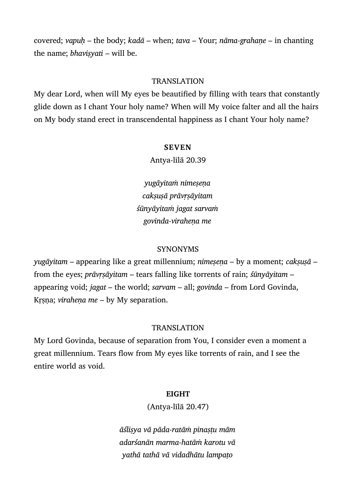covered; *vapuḥ* – the body; *kadā* – when; *tava* – Your; *nāma-grahaṇe* – in chanting the name; *bhaviṣyati* – will be.

# TRANSLATION

My dear Lord, when will My eyes be beautified by filling with tears that constantly glide down as I chant Your holy name? When will My voice falter and all the hairs on My body stand erect in transcendental happiness as I chant Your holy name?

### **SEVEN**

Antya-līlā 20.39

*yugāyitaṁ nimeṣeṇa cakṣuṣā prāvṛṣāyitam śūnyāyitaṁ jagat sarvaṁ govinda-viraheṇa me*

### SYNONYMS

*yugāyitam* – appearing like a great millennium; *nimeṣeṇa* – by a moment; *cakṣuṣā* – from the eyes; *prāvṛṣāyitam* – tears falling like torrents of rain; *śūnyāyitam* – appearing void; *jagat* – the world; *sarvam* – all; *govinda* – from Lord Govinda, Krsna; *virahena me* – by My separation.

### TRANSLATION

My Lord Govinda, because of separation from You, I consider even a moment a great millennium. Tears flow from My eyes like torrents of rain, and I see the entire world as void.

### **EIGHT**

(Antya-līlā 20.47)

*āśliṣya vā pāda-ratāṁ pinaṣṭu mām adarśanān marma-hatāṁ karotu vā yathā tathā vā vidadhātu lampaṭo*